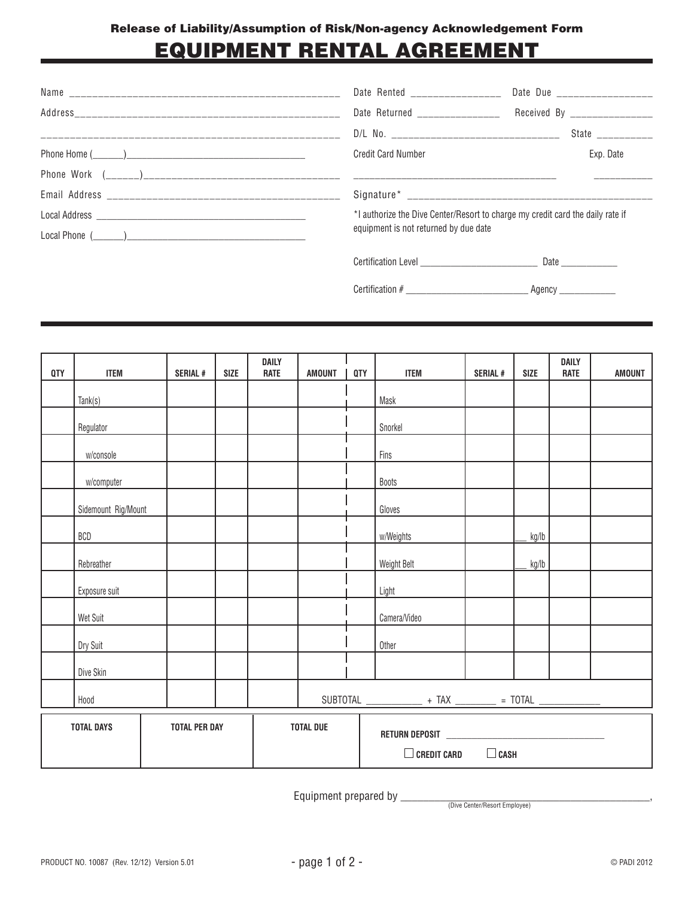# EQUIPMENT RENTAL AGREEMENT

| Date Rented ________________                                                   | Date Due ___________________ |  |  |  |
|--------------------------------------------------------------------------------|------------------------------|--|--|--|
| Date Returned _________________ Received By ______________                     |                              |  |  |  |
|                                                                                | State ____________           |  |  |  |
| <b>Credit Card Number</b>                                                      | Exp. Date                    |  |  |  |
|                                                                                |                              |  |  |  |
|                                                                                |                              |  |  |  |
| *I authorize the Dive Center/Resort to charge my credit card the daily rate if |                              |  |  |  |
| equipment is not returned by due date                                          |                              |  |  |  |
|                                                                                |                              |  |  |  |
| Certification # Agency                                                         |                              |  |  |  |

|                     |                                             |          | DAILY                               |             |                                   |              |                                           |                | DAILY                      | <b>AMOUNT</b>                                                                |
|---------------------|---------------------------------------------|----------|-------------------------------------|-------------|-----------------------------------|--------------|-------------------------------------------|----------------|----------------------------|------------------------------------------------------------------------------|
|                     |                                             |          |                                     |             |                                   |              |                                           |                |                            |                                                                              |
|                     |                                             |          |                                     |             |                                   |              |                                           |                |                            |                                                                              |
| Regulator           |                                             |          |                                     |             |                                   | Snorkel      |                                           |                |                            |                                                                              |
| w/console           |                                             |          |                                     |             |                                   | Fins         |                                           |                |                            |                                                                              |
| w/computer          |                                             |          |                                     |             |                                   | Boots        |                                           |                |                            |                                                                              |
| Sidemount Rig/Mount |                                             |          |                                     |             |                                   | Gloves       |                                           |                |                            |                                                                              |
| <b>BCD</b>          |                                             |          |                                     |             |                                   | w/Weights    |                                           | kg/lb          |                            |                                                                              |
| Rebreather          |                                             |          |                                     |             |                                   | Weight Belt  |                                           | kg/lb          |                            |                                                                              |
| Exposure suit       |                                             |          |                                     |             |                                   | Light        |                                           |                |                            |                                                                              |
| Wet Suit            |                                             |          |                                     |             |                                   | Camera/Video |                                           |                |                            |                                                                              |
| Dry Suit            |                                             |          |                                     |             |                                   | Other        |                                           |                |                            |                                                                              |
| Dive Skin           |                                             |          |                                     |             |                                   |              |                                           |                |                            |                                                                              |
| Hood                |                                             |          |                                     |             |                                   |              |                                           |                |                            |                                                                              |
|                     |                                             |          |                                     |             |                                   |              |                                           |                |                            |                                                                              |
|                     | <b>ITEM</b><br>Tank(s)<br><b>TOTAL DAYS</b> | SERIAL # | <b>SIZE</b><br><b>TOTAL PER DAY</b> | <b>RATE</b> | <b>AMOUNT</b><br><b>TOTAL DUE</b> | <b>QTY</b>   | <b>ITEM</b><br>Mask<br>$\Box$ Credit Card | <b>SERIAL#</b> | <b>SIZE</b><br>$\Box$ CASH | <b>RATE</b><br>SUBTOTAL ______________ + TAX _________ = TOTAL _____________ |

Equipment prepared by \_\_\_\_\_\_\_\_\_\_\_\_\_\_\_\_\_\_\_\_\_\_\_\_\_\_\_\_\_\_\_\_\_\_\_\_\_\_\_\_\_\_\_\_, (Dive Center/Resort Employee)